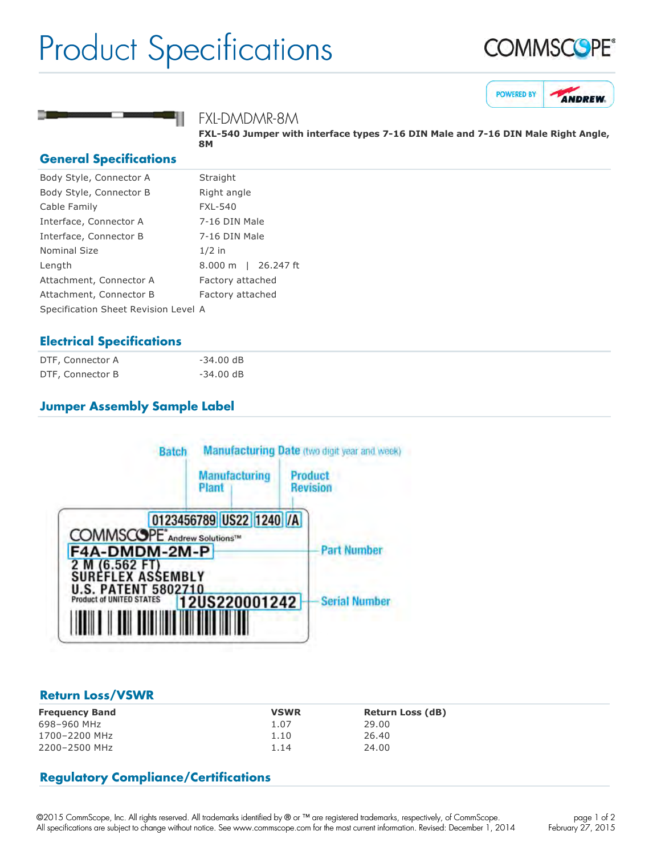# Product Specifications







## FXL-DMDMR-8M

FXL-540 Jumper with interface types 7-16 DIN Male and 7-16 DIN Male Right Angle, **8M**

#### **General Specifications**

| Body Style, Connector A              | Straight                           |
|--------------------------------------|------------------------------------|
| Body Style, Connector B              | Right angle                        |
| Cable Family                         | <b>FXL-540</b>                     |
| Interface, Connector A               | 7-16 DIN Male                      |
| Interface, Connector B               | 7-16 DIN Male                      |
| <b>Nominal Size</b>                  | $1/2$ in                           |
| Length                               | $8.000 \; \mathrm{m}$<br>26.247 ft |
| Attachment, Connector A              | Factory attached                   |
| Attachment, Connector B              | Factory attached                   |
| Specification Sheet Revision Level A |                                    |
|                                      |                                    |

## **Electrical Specifications**

| DTF, Connector A | $-34.00$ dB |
|------------------|-------------|
| DTF, Connector B | $-34.00$ dB |

# **Jumper Assembly Sample Label**



### **Return Loss/VSWR**

| <b>Frequency Band</b> | <b>VSWR</b> | <b>Return Loss (dB)</b> |
|-----------------------|-------------|-------------------------|
| 698-960 MHz           | 1.07        | 29.00                   |
| 1700-2200 MHz         | 1.10        | 26.40                   |
| 2200-2500 MHz         | 1.14        | 24.00                   |

# **Regulatory Compliance/Certifications**

©2015 CommScope, Inc. All rights reserved. All trademarks identified by ® or ™ are registered trademarks, respectively, of CommScope. All specifications are subject to change without notice. See www.commscope.com for the most current information. Revised: December 1, 2014